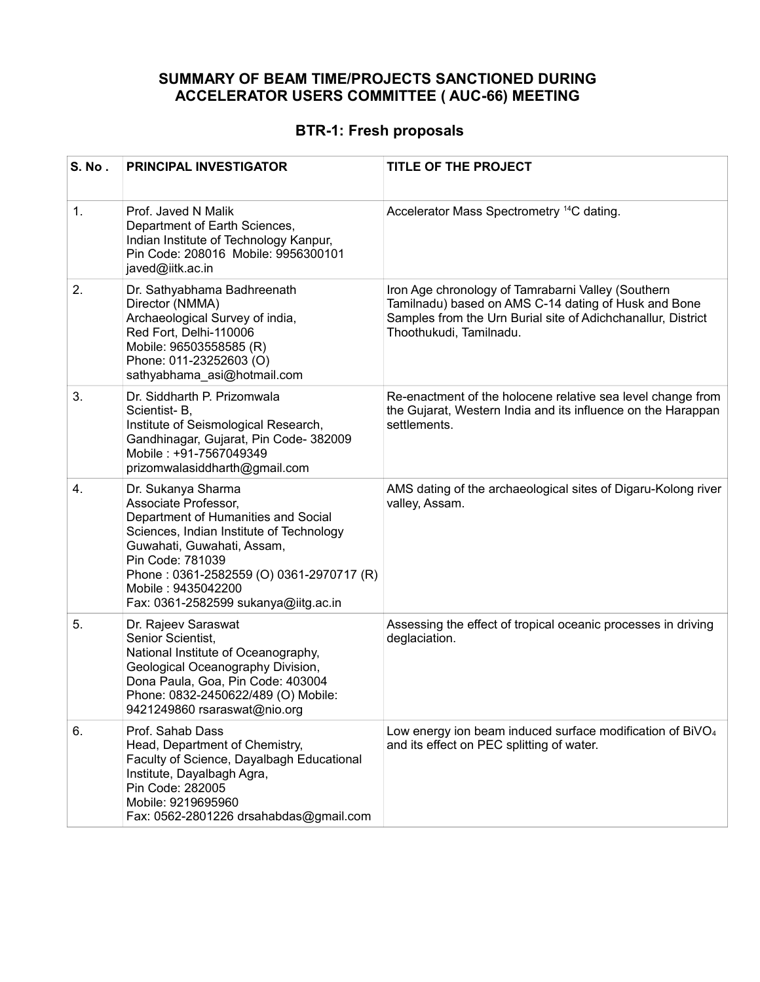#### **SUMMARY OF BEAM TIME/PROJECTS SANCTIONED DURING ACCELERATOR USERS COMMITTEE ( AUC-66) MEETING**

#### **BTR-1: Fresh proposals**

| S. No. | <b>PRINCIPAL INVESTIGATOR</b>                                                                                                                                                                                                                                                             | <b>TITLE OF THE PROJECT</b>                                                                                                                                                                           |
|--------|-------------------------------------------------------------------------------------------------------------------------------------------------------------------------------------------------------------------------------------------------------------------------------------------|-------------------------------------------------------------------------------------------------------------------------------------------------------------------------------------------------------|
| 1.     | Prof. Javed N Malik<br>Department of Earth Sciences,<br>Indian Institute of Technology Kanpur,<br>Pin Code: 208016 Mobile: 9956300101<br>javed@iitk.ac.in                                                                                                                                 | Accelerator Mass Spectrometry <sup>14</sup> C dating.                                                                                                                                                 |
| 2.     | Dr. Sathyabhama Badhreenath<br>Director (NMMA)<br>Archaeological Survey of india,<br>Red Fort, Delhi-110006<br>Mobile: 96503558585 (R)<br>Phone: 011-23252603 (O)<br>sathyabhama_asi@hotmail.com                                                                                          | Iron Age chronology of Tamrabarni Valley (Southern<br>Tamilnadu) based on AMS C-14 dating of Husk and Bone<br>Samples from the Urn Burial site of Adichchanallur, District<br>Thoothukudi, Tamilnadu. |
| 3.     | Dr. Siddharth P. Prizomwala<br>Scientist-B,<br>Institute of Seismological Research,<br>Gandhinagar, Gujarat, Pin Code- 382009<br>Mobile: +91-7567049349<br>prizomwalasiddharth@gmail.com                                                                                                  | Re-enactment of the holocene relative sea level change from<br>the Gujarat, Western India and its influence on the Harappan<br>settlements.                                                           |
| 4.     | Dr. Sukanya Sharma<br>Associate Professor,<br>Department of Humanities and Social<br>Sciences, Indian Institute of Technology<br>Guwahati, Guwahati, Assam,<br>Pin Code: 781039<br>Phone: 0361-2582559 (O) 0361-2970717 (R)<br>Mobile: 9435042200<br>Fax: 0361-2582599 sukanya@iitg.ac.in | AMS dating of the archaeological sites of Digaru-Kolong river<br>valley, Assam.                                                                                                                       |
| 5.     | Dr. Rajeev Saraswat<br>Senior Scientist,<br>National Institute of Oceanography,<br>Geological Oceanography Division,<br>Dona Paula, Goa, Pin Code: 403004<br>Phone: 0832-2450622/489 (O) Mobile:<br>9421249860 rsaraswat@nio.org                                                          | Assessing the effect of tropical oceanic processes in driving<br>deglaciation.                                                                                                                        |
| 6.     | Prof. Sahab Dass<br>Head, Department of Chemistry,<br>Faculty of Science, Dayalbagh Educational<br>Institute, Dayalbagh Agra,<br>Pin Code: 282005<br>Mobile: 9219695960<br>Fax: 0562-2801226 drsahabdas@gmail.com                                                                         | Low energy ion beam induced surface modification of BiVO <sub>4</sub><br>and its effect on PEC splitting of water.                                                                                    |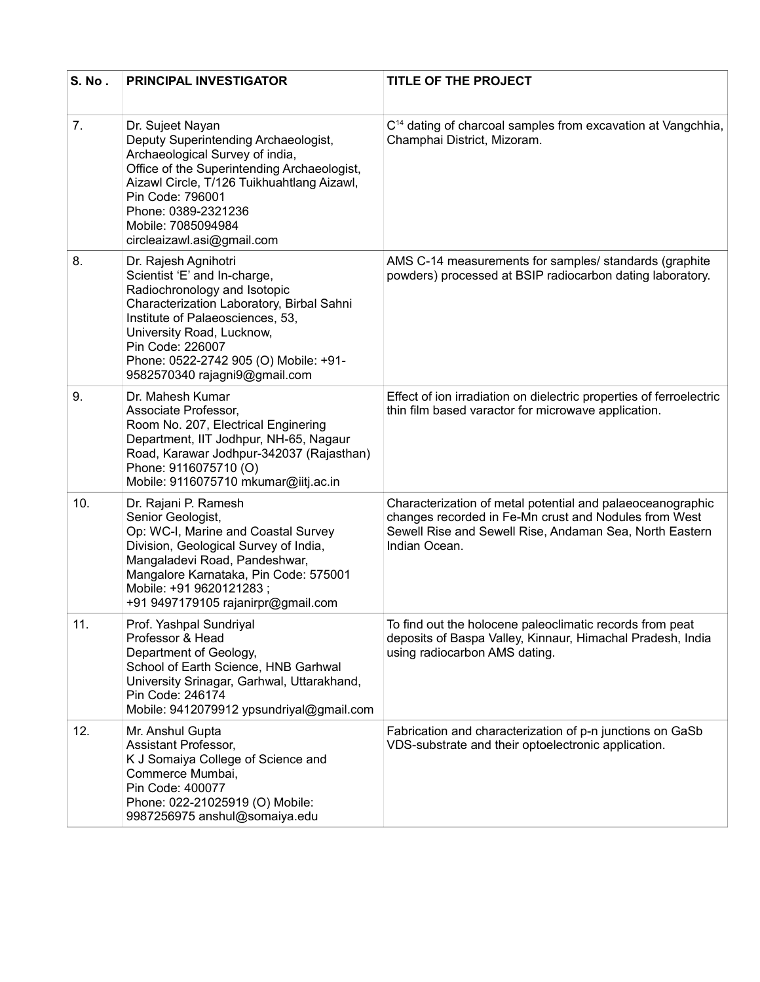| S. No. | <b>PRINCIPAL INVESTIGATOR</b>                                                                                                                                                                                                                                                                    | TITLE OF THE PROJECT                                                                                                                                                                            |
|--------|--------------------------------------------------------------------------------------------------------------------------------------------------------------------------------------------------------------------------------------------------------------------------------------------------|-------------------------------------------------------------------------------------------------------------------------------------------------------------------------------------------------|
| 7.     | Dr. Sujeet Nayan<br>Deputy Superintending Archaeologist,<br>Archaeological Survey of india,<br>Office of the Superintending Archaeologist,<br>Aizawl Circle, T/126 Tuikhuahtlang Aizawl,<br>Pin Code: 796001<br>Phone: 0389-2321236<br>Mobile: 7085094984<br>circleaizawl.asi@gmail.com          | $C14$ dating of charcoal samples from excavation at Vangchhia,<br>Champhai District, Mizoram.                                                                                                   |
| 8.     | Dr. Rajesh Agnihotri<br>Scientist 'E' and In-charge,<br>Radiochronology and Isotopic<br>Characterization Laboratory, Birbal Sahni<br>Institute of Palaeosciences, 53,<br>University Road, Lucknow,<br>Pin Code: 226007<br>Phone: 0522-2742 905 (O) Mobile: +91-<br>9582570340 rajagni9@gmail.com | AMS C-14 measurements for samples/ standards (graphite<br>powders) processed at BSIP radiocarbon dating laboratory.                                                                             |
| 9.     | Dr. Mahesh Kumar<br>Associate Professor,<br>Room No. 207, Electrical Enginering<br>Department, IIT Jodhpur, NH-65, Nagaur<br>Road, Karawar Jodhpur-342037 (Rajasthan)<br>Phone: 9116075710 (O)<br>Mobile: 9116075710 mkumar@iitj.ac.in                                                           | Effect of ion irradiation on dielectric properties of ferroelectric<br>thin film based varactor for microwave application.                                                                      |
| 10.    | Dr. Rajani P. Ramesh<br>Senior Geologist,<br>Op: WC-I, Marine and Coastal Survey<br>Division, Geological Survey of India,<br>Mangaladevi Road, Pandeshwar,<br>Mangalore Karnataka, Pin Code: 575001<br>Mobile: +91 9620121283;<br>+91 9497179105 rajanirpr@gmail.com                             | Characterization of metal potential and palaeoceanographic<br>changes recorded in Fe-Mn crust and Nodules from West<br>Sewell Rise and Sewell Rise, Andaman Sea, North Eastern<br>Indian Ocean. |
| 11.    | Prof. Yashpal Sundriyal<br>Professor & Head<br>Department of Geology,<br>School of Earth Science, HNB Garhwal<br>University Srinagar, Garhwal, Uttarakhand,<br>Pin Code: 246174<br>Mobile: 9412079912 ypsundriyal@gmail.com                                                                      | To find out the holocene paleoclimatic records from peat<br>deposits of Baspa Valley, Kinnaur, Himachal Pradesh, India<br>using radiocarbon AMS dating.                                         |
| 12.    | Mr. Anshul Gupta<br>Assistant Professor,<br>K J Somaiya College of Science and<br>Commerce Mumbai,<br>Pin Code: 400077<br>Phone: 022-21025919 (O) Mobile:<br>9987256975 anshul@somaiya.edu                                                                                                       | Fabrication and characterization of p-n junctions on GaSb<br>VDS-substrate and their optoelectronic application.                                                                                |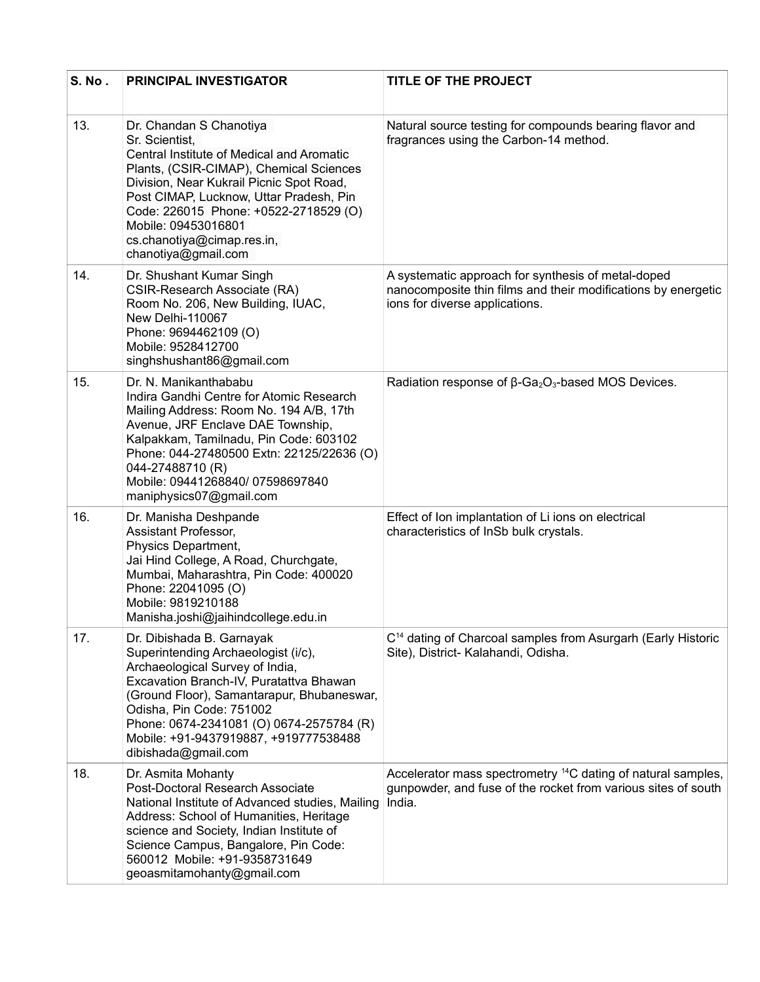| S. No. | <b>PRINCIPAL INVESTIGATOR</b>                                                                                                                                                                                                                                                                                                                 | <b>TITLE OF THE PROJECT</b>                                                                                                                           |
|--------|-----------------------------------------------------------------------------------------------------------------------------------------------------------------------------------------------------------------------------------------------------------------------------------------------------------------------------------------------|-------------------------------------------------------------------------------------------------------------------------------------------------------|
| 13.    | Dr. Chandan S Chanotiya<br>Sr. Scientist,<br>Central Institute of Medical and Aromatic<br>Plants, (CSIR-CIMAP), Chemical Sciences<br>Division, Near Kukrail Picnic Spot Road,<br>Post CIMAP, Lucknow, Uttar Pradesh, Pin<br>Code: 226015 Phone: +0522-2718529 (O)<br>Mobile: 09453016801<br>cs.chanotiya@cimap.res.in,<br>chanotiya@gmail.com | Natural source testing for compounds bearing flavor and<br>fragrances using the Carbon-14 method.                                                     |
| 14.    | Dr. Shushant Kumar Singh<br>CSIR-Research Associate (RA)<br>Room No. 206, New Building, IUAC,<br>New Delhi-110067<br>Phone: 9694462109 (O)<br>Mobile: 9528412700<br>singhshushant86@gmail.com                                                                                                                                                 | A systematic approach for synthesis of metal-doped<br>nanocomposite thin films and their modifications by energetic<br>ions for diverse applications. |
| 15.    | Dr. N. Manikanthababu<br>Indira Gandhi Centre for Atomic Research<br>Mailing Address: Room No. 194 A/B, 17th<br>Avenue, JRF Enclave DAE Township,<br>Kalpakkam, Tamilnadu, Pin Code: 603102<br>Phone: 044-27480500 Extn: 22125/22636 (O)<br>044-27488710 (R)<br>Mobile: 09441268840/07598697840<br>maniphysics07@gmail.com                    | Radiation response of $\beta$ -Ga <sub>2</sub> O <sub>3</sub> -based MOS Devices.                                                                     |
| 16.    | Dr. Manisha Deshpande<br>Assistant Professor,<br>Physics Department,<br>Jai Hind College, A Road, Churchgate,<br>Mumbai, Maharashtra, Pin Code: 400020<br>Phone: 22041095 (O)<br>Mobile: 9819210188<br>Manisha.joshi@jaihindcollege.edu.in                                                                                                    | Effect of Ion implantation of Li ions on electrical<br>characteristics of InSb bulk crystals.                                                         |
| 17.    | Dr. Dibishada B. Garnayak<br>Superintending Archaeologist (i/c),<br>Archaeological Survey of India,<br>Excavation Branch-IV, Puratattva Bhawan<br>(Ground Floor), Samantarapur, Bhubaneswar,<br>Odisha, Pin Code: 751002<br>Phone: 0674-2341081 (O) 0674-2575784 (R)<br>Mobile: +91-9437919887, +919777538488<br>dibishada@gmail.com          | C <sup>14</sup> dating of Charcoal samples from Asurgarh (Early Historic<br>Site), District- Kalahandi, Odisha.                                       |
| 18.    | Dr. Asmita Mohanty<br>Post-Doctoral Research Associate<br>National Institute of Advanced studies, Mailing<br>Address: School of Humanities, Heritage<br>science and Society, Indian Institute of<br>Science Campus, Bangalore, Pin Code:<br>560012 Mobile: +91-9358731649<br>geoasmitamohanty@gmail.com                                       | Accelerator mass spectrometry <sup>14</sup> C dating of natural samples,<br>gunpowder, and fuse of the rocket from various sites of south<br>India.   |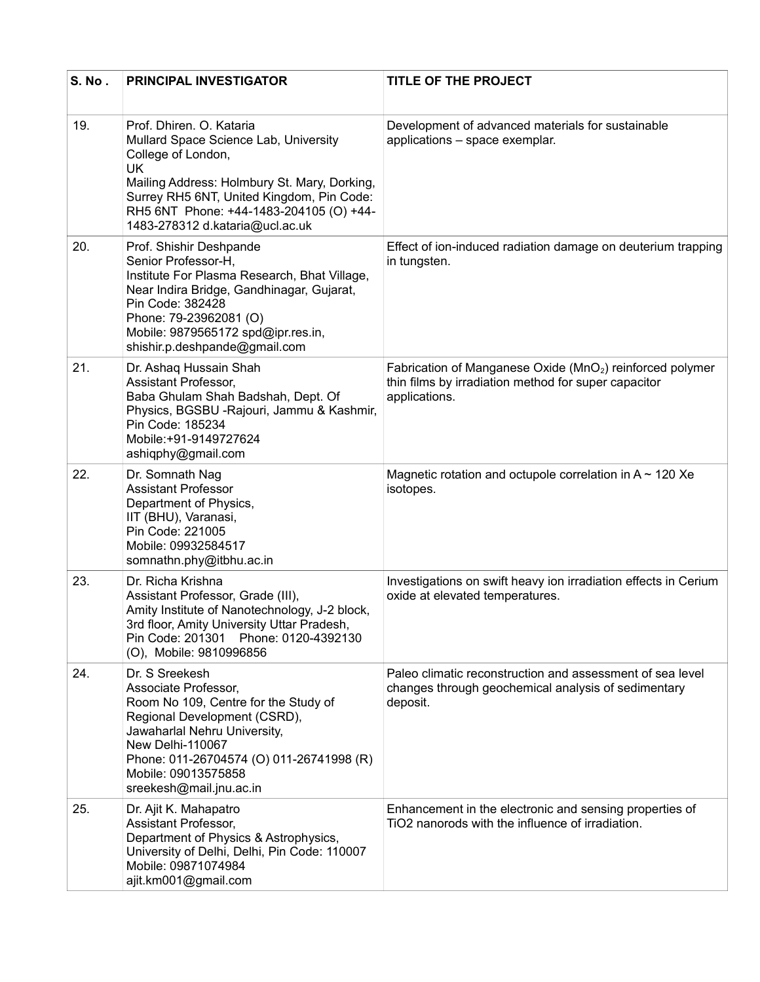| S. No. | <b>PRINCIPAL INVESTIGATOR</b>                                                                                                                                                                                                                                                   | <b>TITLE OF THE PROJECT</b>                                                                                                                    |
|--------|---------------------------------------------------------------------------------------------------------------------------------------------------------------------------------------------------------------------------------------------------------------------------------|------------------------------------------------------------------------------------------------------------------------------------------------|
| 19.    | Prof. Dhiren. O. Kataria<br>Mullard Space Science Lab, University<br>College of London,<br><b>UK</b><br>Mailing Address: Holmbury St. Mary, Dorking,<br>Surrey RH5 6NT, United Kingdom, Pin Code:<br>RH5 6NT Phone: +44-1483-204105 (O) +44-<br>1483-278312 d.kataria@ucl.ac.uk | Development of advanced materials for sustainable<br>applications - space exemplar.                                                            |
| 20.    | Prof. Shishir Deshpande<br>Senior Professor-H,<br>Institute For Plasma Research, Bhat Village,<br>Near Indira Bridge, Gandhinagar, Gujarat,<br>Pin Code: 382428<br>Phone: 79-23962081 (O)<br>Mobile: 9879565172 spd@ipr.res.in,<br>shishir.p.deshpande@gmail.com                | Effect of ion-induced radiation damage on deuterium trapping<br>in tungsten.                                                                   |
| 21.    | Dr. Ashaq Hussain Shah<br>Assistant Professor,<br>Baba Ghulam Shah Badshah, Dept. Of<br>Physics, BGSBU - Rajouri, Jammu & Kashmir,<br>Pin Code: 185234<br>Mobile:+91-9149727624<br>ashiqphy@gmail.com                                                                           | Fabrication of Manganese Oxide (MnO <sub>2</sub> ) reinforced polymer<br>thin films by irradiation method for super capacitor<br>applications. |
| 22.    | Dr. Somnath Nag<br><b>Assistant Professor</b><br>Department of Physics,<br>IIT (BHU), Varanasi,<br>Pin Code: 221005<br>Mobile: 09932584517<br>somnathn.phy@itbhu.ac.in                                                                                                          | Magnetic rotation and octupole correlation in A $\sim$ 120 Xe<br>isotopes.                                                                     |
| 23.    | Dr. Richa Krishna<br>Assistant Professor, Grade (III),<br>Amity Institute of Nanotechnology, J-2 block,<br>3rd floor, Amity University Uttar Pradesh,<br>Pin Code: 201301  Phone: 0120-4392130<br>(O), Mobile: 9810996856                                                       | Investigations on swift heavy ion irradiation effects in Cerium<br>oxide at elevated temperatures.                                             |
| 24.    | Dr. S Sreekesh<br>Associate Professor,<br>Room No 109, Centre for the Study of<br>Regional Development (CSRD),<br>Jawaharlal Nehru University,<br>New Delhi-110067<br>Phone: 011-26704574 (O) 011-26741998 (R)<br>Mobile: 09013575858<br>sreekesh@mail.jnu.ac.in                | Paleo climatic reconstruction and assessment of sea level<br>changes through geochemical analysis of sedimentary<br>deposit.                   |
| 25.    | Dr. Ajit K. Mahapatro<br>Assistant Professor,<br>Department of Physics & Astrophysics,<br>University of Delhi, Delhi, Pin Code: 110007<br>Mobile: 09871074984<br>ajit.km001@gmail.com                                                                                           | Enhancement in the electronic and sensing properties of<br>TiO2 nanorods with the influence of irradiation.                                    |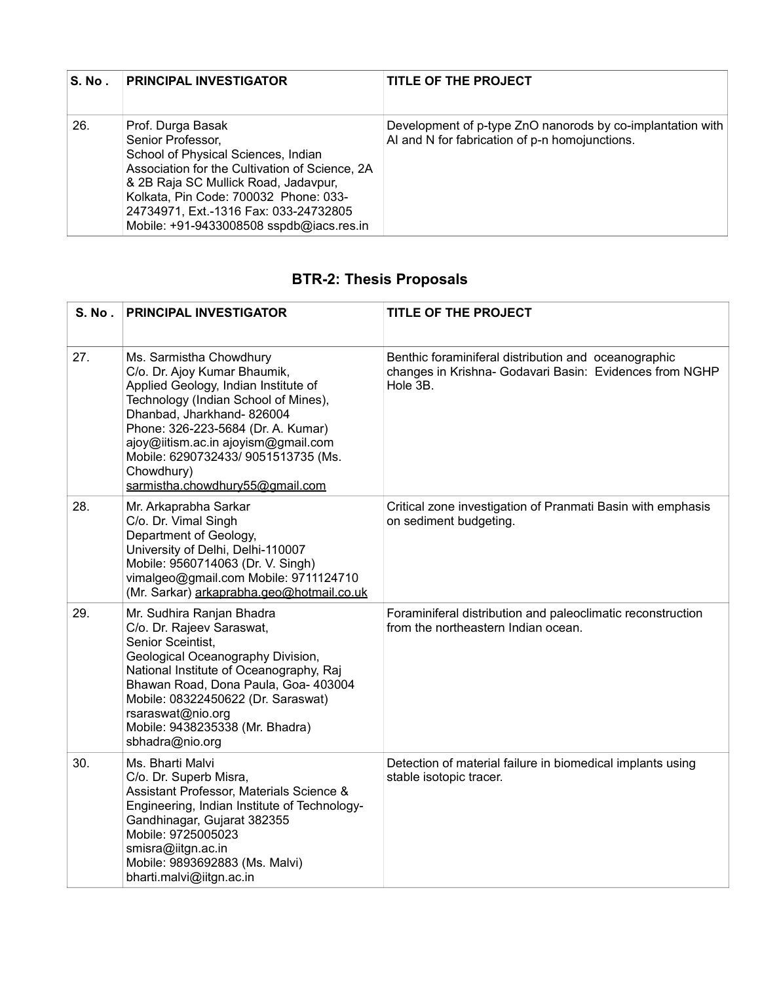| S. No. | <b>PRINCIPAL INVESTIGATOR</b>                                                                                                                                                                                                                                                                         | TITLE OF THE PROJECT                                                                                         |
|--------|-------------------------------------------------------------------------------------------------------------------------------------------------------------------------------------------------------------------------------------------------------------------------------------------------------|--------------------------------------------------------------------------------------------------------------|
| 26.    | Prof. Durga Basak<br>Senior Professor,<br>School of Physical Sciences, Indian<br>Association for the Cultivation of Science, 2A<br>& 2B Raja SC Mullick Road, Jadavpur,<br>Kolkata, Pin Code: 700032 Phone: 033-<br>24734971, Ext.-1316 Fax: 033-24732805<br>Mobile: +91-9433008508 sspdb@iacs.res.in | Development of p-type ZnO nanorods by co-implantation with<br>AI and N for fabrication of p-n homojunctions. |

# **BTR-2: Thesis Proposals**

| S. No. | <b>PRINCIPAL INVESTIGATOR</b>                                                                                                                                                                                                                                                                                                             | <b>TITLE OF THE PROJECT</b>                                                                                                 |
|--------|-------------------------------------------------------------------------------------------------------------------------------------------------------------------------------------------------------------------------------------------------------------------------------------------------------------------------------------------|-----------------------------------------------------------------------------------------------------------------------------|
| 27.    | Ms. Sarmistha Chowdhury<br>C/o. Dr. Ajoy Kumar Bhaumik,<br>Applied Geology, Indian Institute of<br>Technology (Indian School of Mines),<br>Dhanbad, Jharkhand-826004<br>Phone: 326-223-5684 (Dr. A. Kumar)<br>ajoy@iitism.ac.in ajoyism@gmail.com<br>Mobile: 6290732433/ 9051513735 (Ms.<br>Chowdhury)<br>sarmistha.chowdhury55@gmail.com | Benthic foraminiferal distribution and oceanographic<br>changes in Krishna- Godavari Basin: Evidences from NGHP<br>Hole 3B. |
| 28.    | Mr. Arkaprabha Sarkar<br>C/o. Dr. Vimal Singh<br>Department of Geology,<br>University of Delhi, Delhi-110007<br>Mobile: 9560714063 (Dr. V. Singh)<br>vimalgeo@gmail.com Mobile: 9711124710<br>(Mr. Sarkar) arkaprabha.geo@hotmail.co.uk                                                                                                   | Critical zone investigation of Pranmati Basin with emphasis<br>on sediment budgeting.                                       |
| 29.    | Mr. Sudhira Ranjan Bhadra<br>C/o. Dr. Rajeev Saraswat,<br>Senior Sceintist,<br>Geological Oceanography Division,<br>National Institute of Oceanography, Raj<br>Bhawan Road, Dona Paula, Goa- 403004<br>Mobile: 08322450622 (Dr. Saraswat)<br>rsaraswat@nio.org<br>Mobile: 9438235338 (Mr. Bhadra)<br>sbhadra@nio.org                      | Foraminiferal distribution and paleoclimatic reconstruction<br>from the northeastern Indian ocean.                          |
| 30.    | Ms. Bharti Malvi<br>C/o. Dr. Superb Misra,<br>Assistant Professor, Materials Science &<br>Engineering, Indian Institute of Technology-<br>Gandhinagar, Gujarat 382355<br>Mobile: 9725005023<br>smisra@iitgn.ac.in<br>Mobile: 9893692883 (Ms. Malvi)<br>bharti.malvi@iitgn.ac.in                                                           | Detection of material failure in biomedical implants using<br>stable isotopic tracer.                                       |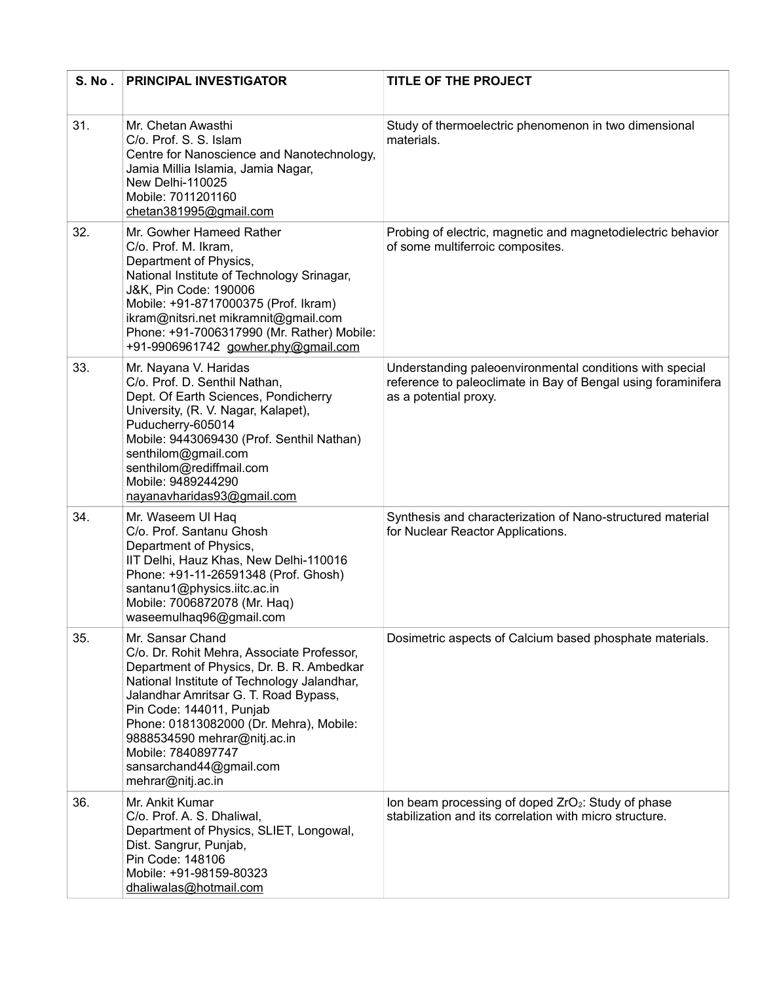| <b>S. No.</b> | <b>PRINCIPAL INVESTIGATOR</b>                                                                                                                                                                                                                                                                                                                                                    | <b>TITLE OF THE PROJECT</b>                                                                                                                        |
|---------------|----------------------------------------------------------------------------------------------------------------------------------------------------------------------------------------------------------------------------------------------------------------------------------------------------------------------------------------------------------------------------------|----------------------------------------------------------------------------------------------------------------------------------------------------|
| 31.           | Mr. Chetan Awasthi<br>C/o. Prof. S. S. Islam<br>Centre for Nanoscience and Nanotechnology,<br>Jamia Millia Islamia, Jamia Nagar,<br>New Delhi-110025<br>Mobile: 7011201160<br>chetan381995@gmail.com                                                                                                                                                                             | Study of thermoelectric phenomenon in two dimensional<br>materials.                                                                                |
| 32.           | Mr. Gowher Hameed Rather<br>C/o. Prof. M. Ikram,<br>Department of Physics,<br>National Institute of Technology Srinagar,<br>J&K, Pin Code: 190006<br>Mobile: +91-8717000375 (Prof. Ikram)<br>ikram@nitsri.net mikramnit@gmail.com<br>Phone: +91-7006317990 (Mr. Rather) Mobile:<br>+91-9906961742 gowher.phy@gmail.com                                                           | Probing of electric, magnetic and magnetodielectric behavior<br>of some multiferroic composites.                                                   |
| 33.           | Mr. Nayana V. Haridas<br>C/o. Prof. D. Senthil Nathan,<br>Dept. Of Earth Sciences, Pondicherry<br>University, (R. V. Nagar, Kalapet),<br>Puducherry-605014<br>Mobile: 9443069430 (Prof. Senthil Nathan)<br>senthilom@gmail.com<br>senthilom@rediffmail.com<br>Mobile: 9489244290<br>nayanavharidas93@gmail.com                                                                   | Understanding paleoenvironmental conditions with special<br>reference to paleoclimate in Bay of Bengal using foraminifera<br>as a potential proxy. |
| 34.           | Mr. Waseem UI Haq<br>C/o. Prof. Santanu Ghosh<br>Department of Physics,<br>IIT Delhi, Hauz Khas, New Delhi-110016<br>Phone: +91-11-26591348 (Prof. Ghosh)<br>santanu1@physics.iitc.ac.in<br>Mobile: 7006872078 (Mr. Haq)<br>waseemulhaq96@gmail.com                                                                                                                              | Synthesis and characterization of Nano-structured material<br>for Nuclear Reactor Applications.                                                    |
| 35.           | Mr. Sansar Chand<br>C/o. Dr. Rohit Mehra, Associate Professor,<br>Department of Physics, Dr. B. R. Ambedkar<br>National Institute of Technology Jalandhar,<br>Jalandhar Amritsar G. T. Road Bypass,<br>Pin Code: 144011, Punjab<br>Phone: 01813082000 (Dr. Mehra), Mobile:<br>9888534590 mehrar@nitj.ac.in<br>Mobile: 7840897747<br>sansarchand44@gmail.com<br>mehrar@nitj.ac.in | Dosimetric aspects of Calcium based phosphate materials.                                                                                           |
| 36.           | Mr. Ankit Kumar<br>C/o. Prof. A. S. Dhaliwal,<br>Department of Physics, SLIET, Longowal,<br>Dist. Sangrur, Punjab,<br>Pin Code: 148106<br>Mobile: +91-98159-80323<br>dhaliwalas@hotmail.com                                                                                                                                                                                      | Ion beam processing of doped ZrO <sub>2</sub> : Study of phase<br>stabilization and its correlation with micro structure.                          |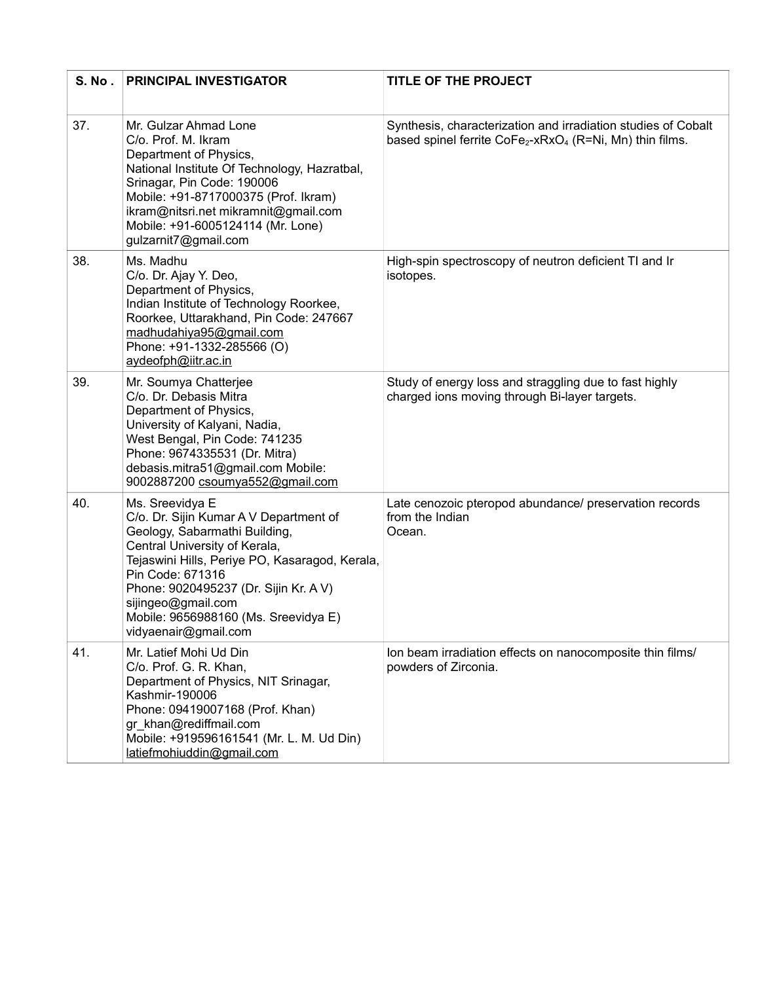| S. No. | <b>PRINCIPAL INVESTIGATOR</b>                                                                                                                                                                                                                                                                                                    | TITLE OF THE PROJECT                                                                                                                              |
|--------|----------------------------------------------------------------------------------------------------------------------------------------------------------------------------------------------------------------------------------------------------------------------------------------------------------------------------------|---------------------------------------------------------------------------------------------------------------------------------------------------|
| 37.    | Mr. Gulzar Ahmad Lone<br>C/o. Prof. M. Ikram<br>Department of Physics,<br>National Institute Of Technology, Hazratbal,<br>Srinagar, Pin Code: 190006<br>Mobile: +91-8717000375 (Prof. Ikram)<br>ikram@nitsri.net mikramnit@gmail.com<br>Mobile: +91-6005124114 (Mr. Lone)<br>gulzarnit7@gmail.com                                | Synthesis, characterization and irradiation studies of Cobalt<br>based spinel ferrite CoFe <sub>2</sub> -xRxO <sub>4</sub> (R=Ni, Mn) thin films. |
| 38.    | Ms. Madhu<br>C/o. Dr. Ajay Y. Deo,<br>Department of Physics,<br>Indian Institute of Technology Roorkee,<br>Roorkee, Uttarakhand, Pin Code: 247667<br>madhudahiya95@gmail.com<br>Phone: +91-1332-285566 (O)<br>aydeofph@iitr.ac.in                                                                                                | High-spin spectroscopy of neutron deficient TI and Ir<br>isotopes.                                                                                |
| 39.    | Mr. Soumya Chatterjee<br>C/o. Dr. Debasis Mitra<br>Department of Physics,<br>University of Kalyani, Nadia,<br>West Bengal, Pin Code: 741235<br>Phone: 9674335531 (Dr. Mitra)<br>debasis.mitra51@gmail.com Mobile:<br>9002887200 csoumya552@gmail.com                                                                             | Study of energy loss and straggling due to fast highly<br>charged ions moving through Bi-layer targets.                                           |
| 40.    | Ms. Sreevidya E<br>C/o. Dr. Sijin Kumar A V Department of<br>Geology, Sabarmathi Building,<br>Central University of Kerala,<br>Tejaswini Hills, Periye PO, Kasaragod, Kerala,<br>Pin Code: 671316<br>Phone: 9020495237 (Dr. Sijin Kr. A V)<br>sijingeo@gmail.com<br>Mobile: 9656988160 (Ms. Sreevidya E)<br>vidyaenair@gmail.com | Late cenozoic pteropod abundance/ preservation records<br>from the Indian<br>Ocean.                                                               |
| 41.    | Mr. Latief Mohi Ud Din<br>C/o. Prof. G. R. Khan,<br>Department of Physics, NIT Srinagar,<br>Kashmir-190006<br>Phone: 09419007168 (Prof. Khan)<br>gr_khan@rediffmail.com<br>Mobile: +919596161541 (Mr. L. M. Ud Din)<br>latiefmohiuddin@gmail.com                                                                                 | Ion beam irradiation effects on nanocomposite thin films/<br>powders of Zirconia.                                                                 |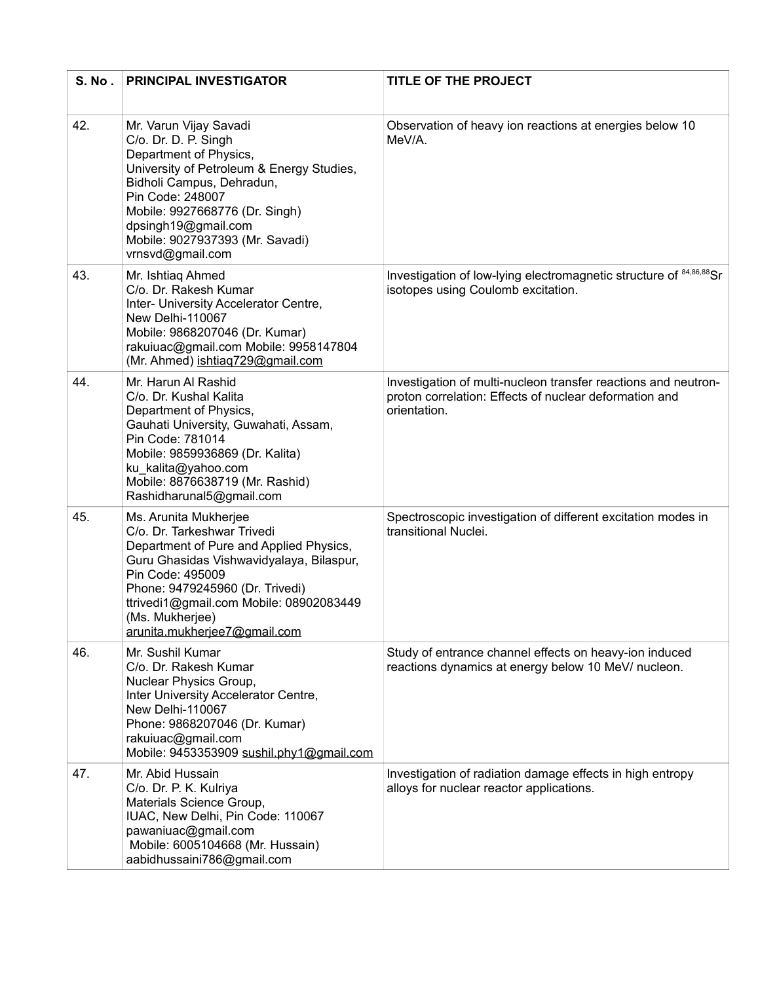| <b>S. No.</b> | <b>PRINCIPAL INVESTIGATOR</b>                                                                                                                                                                                                                                                                    | <b>TITLE OF THE PROJECT</b>                                                                                                              |
|---------------|--------------------------------------------------------------------------------------------------------------------------------------------------------------------------------------------------------------------------------------------------------------------------------------------------|------------------------------------------------------------------------------------------------------------------------------------------|
| 42.           | Mr. Varun Vijay Savadi<br>C/o. Dr. D. P. Singh<br>Department of Physics,<br>University of Petroleum & Energy Studies,<br>Bidholi Campus, Dehradun,<br>Pin Code: 248007<br>Mobile: 9927668776 (Dr. Singh)<br>dpsingh19@gmail.com<br>Mobile: 9027937393 (Mr. Savadi)<br>vrnsvd@gmail.com           | Observation of heavy ion reactions at energies below 10<br>MeV/A.                                                                        |
| 43.           | Mr. Ishtiaq Ahmed<br>C/o. Dr. Rakesh Kumar<br>Inter- University Accelerator Centre,<br>New Delhi-110067<br>Mobile: 9868207046 (Dr. Kumar)<br>rakuiuac@gmail.com Mobile: 9958147804<br>(Mr. Ahmed) ishtiaq729@gmail.com                                                                           | Investigation of low-lying electromagnetic structure of 84,86,88 Sr<br>isotopes using Coulomb excitation.                                |
| 44.           | Mr. Harun Al Rashid<br>C/o. Dr. Kushal Kalita<br>Department of Physics,<br>Gauhati University, Guwahati, Assam,<br>Pin Code: 781014<br>Mobile: 9859936869 (Dr. Kalita)<br>ku_kalita@yahoo.com<br>Mobile: 8876638719 (Mr. Rashid)<br>Rashidharunal5@gmail.com                                     | Investigation of multi-nucleon transfer reactions and neutron-<br>proton correlation: Effects of nuclear deformation and<br>orientation. |
| 45.           | Ms. Arunita Mukherjee<br>C/o. Dr. Tarkeshwar Trivedi<br>Department of Pure and Applied Physics,<br>Guru Ghasidas Vishwavidyalaya, Bilaspur,<br>Pin Code: 495009<br>Phone: 9479245960 (Dr. Trivedi)<br>ttrivedi1@gmail.com Mobile: 08902083449<br>(Ms. Mukherjee)<br>arunita.mukherjee7@gmail.com | Spectroscopic investigation of different excitation modes in<br>transitional Nuclei.                                                     |
| 46.           | Mr. Sushil Kumar<br>C/o. Dr. Rakesh Kumar<br>Nuclear Physics Group,<br>Inter University Accelerator Centre,<br>New Delhi-110067<br>Phone: 9868207046 (Dr. Kumar)<br>rakuiuac@gmail.com<br>Mobile: 9453353909 sushil.phy1@gmail.com                                                               | Study of entrance channel effects on heavy-ion induced<br>reactions dynamics at energy below 10 MeV/ nucleon.                            |
| 47.           | Mr. Abid Hussain<br>C/o. Dr. P. K. Kulriya<br>Materials Science Group,<br>IUAC, New Delhi, Pin Code: 110067<br>pawaniuac@gmail.com<br>Mobile: 6005104668 (Mr. Hussain)<br>aabidhussaini786@gmail.com                                                                                             | Investigation of radiation damage effects in high entropy<br>alloys for nuclear reactor applications.                                    |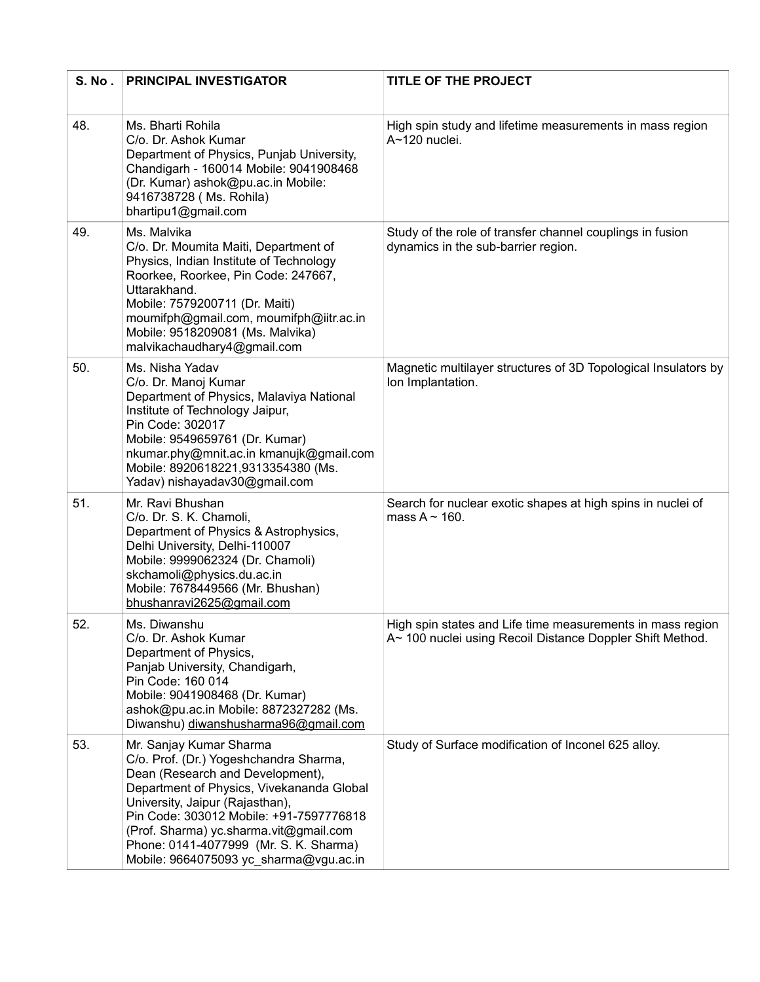| <b>S. No.</b> | <b>PRINCIPAL INVESTIGATOR</b>                                                                                                                                                                                                                                                                                                                                  | <b>TITLE OF THE PROJECT</b>                                                                                             |
|---------------|----------------------------------------------------------------------------------------------------------------------------------------------------------------------------------------------------------------------------------------------------------------------------------------------------------------------------------------------------------------|-------------------------------------------------------------------------------------------------------------------------|
| 48.           | Ms. Bharti Rohila<br>C/o. Dr. Ashok Kumar<br>Department of Physics, Punjab University,<br>Chandigarh - 160014 Mobile: 9041908468<br>(Dr. Kumar) ashok@pu.ac.in Mobile:<br>9416738728 (Ms. Rohila)<br>bhartipu1@gmail.com                                                                                                                                       | High spin study and lifetime measurements in mass region<br>A~120 nuclei.                                               |
| 49.           | Ms. Malvika<br>C/o. Dr. Moumita Maiti, Department of<br>Physics, Indian Institute of Technology<br>Roorkee, Roorkee, Pin Code: 247667,<br>Uttarakhand.<br>Mobile: 7579200711 (Dr. Maiti)<br>moumifph@gmail.com, moumifph@iitr.ac.in<br>Mobile: 9518209081 (Ms. Malvika)<br>malvikachaudhary4@gmail.com                                                         | Study of the role of transfer channel couplings in fusion<br>dynamics in the sub-barrier region.                        |
| 50.           | Ms. Nisha Yadav<br>C/o. Dr. Manoj Kumar<br>Department of Physics, Malaviya National<br>Institute of Technology Jaipur,<br>Pin Code: 302017<br>Mobile: 9549659761 (Dr. Kumar)<br>nkumar.phy@mnit.ac.in kmanujk@gmail.com<br>Mobile: 8920618221,9313354380 (Ms.<br>Yadav) nishayadav30@gmail.com                                                                 | Magnetic multilayer structures of 3D Topological Insulators by<br>Ion Implantation.                                     |
| 51.           | Mr. Ravi Bhushan<br>C/o. Dr. S. K. Chamoli,<br>Department of Physics & Astrophysics,<br>Delhi University, Delhi-110007<br>Mobile: 9999062324 (Dr. Chamoli)<br>skchamoli@physics.du.ac.in<br>Mobile: 7678449566 (Mr. Bhushan)<br>bhushanravi2625@gmail.com                                                                                                      | Search for nuclear exotic shapes at high spins in nuclei of<br>mass $A \sim 160$ .                                      |
| 52.           | Ms. Diwanshu<br>C/o. Dr. Ashok Kumar<br>Department of Physics,<br>Panjab University, Chandigarh,<br>Pin Code: 160 014<br>Mobile: 9041908468 (Dr. Kumar)<br>ashok@pu.ac.in Mobile: 8872327282 (Ms.<br>Diwanshu) diwanshusharma96@gmail.com                                                                                                                      | High spin states and Life time measurements in mass region<br>A~ 100 nuclei using Recoil Distance Doppler Shift Method. |
| 53.           | Mr. Sanjay Kumar Sharma<br>C/o. Prof. (Dr.) Yogeshchandra Sharma,<br>Dean (Research and Development),<br>Department of Physics, Vivekananda Global<br>University, Jaipur (Rajasthan),<br>Pin Code: 303012 Mobile: +91-7597776818<br>(Prof. Sharma) yc.sharma.vit@gmail.com<br>Phone: 0141-4077999 (Mr. S. K. Sharma)<br>Mobile: 9664075093 yc sharma@vgu.ac.in | Study of Surface modification of Inconel 625 alloy.                                                                     |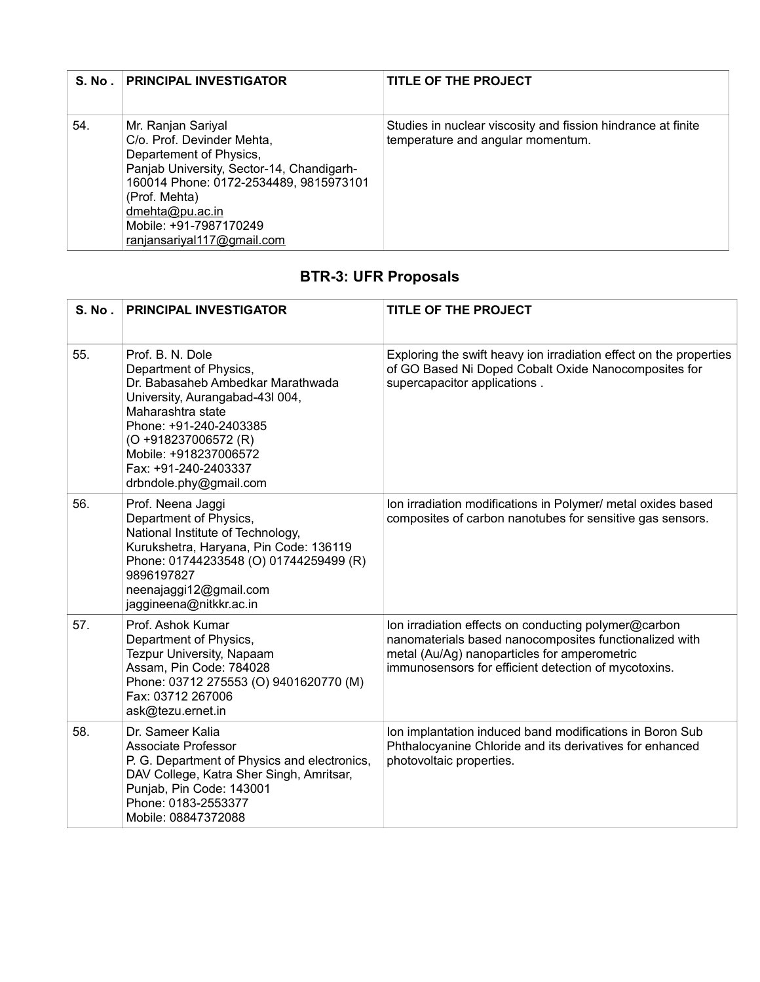|     | S. No. PRINCIPAL INVESTIGATOR                                                                                                                                                                                                                                     | TITLE OF THE PROJECT                                                                              |
|-----|-------------------------------------------------------------------------------------------------------------------------------------------------------------------------------------------------------------------------------------------------------------------|---------------------------------------------------------------------------------------------------|
| 54. | Mr. Ranjan Sariyal<br>C/o. Prof. Devinder Mehta,<br>Departement of Physics,<br>Panjab University, Sector-14, Chandigarh-<br>160014 Phone: 0172-2534489, 9815973101<br>(Prof. Mehta)<br>$d$ mehta@pu.ac.in<br>Mobile: +91-7987170249<br>ranjansariyal117@gmail.com | Studies in nuclear viscosity and fission hindrance at finite<br>temperature and angular momentum. |

# **BTR-3: UFR Proposals**

| S. No. | <b>PRINCIPAL INVESTIGATOR</b>                                                                                                                                                                                                                                        | TITLE OF THE PROJECT                                                                                                                                                                                                   |
|--------|----------------------------------------------------------------------------------------------------------------------------------------------------------------------------------------------------------------------------------------------------------------------|------------------------------------------------------------------------------------------------------------------------------------------------------------------------------------------------------------------------|
| 55.    | Prof. B. N. Dole<br>Department of Physics,<br>Dr. Babasaheb Ambedkar Marathwada<br>University, Aurangabad-43l 004,<br>Maharashtra state<br>Phone: +91-240-2403385<br>(O +918237006572 (R)<br>Mobile: +918237006572<br>Fax: +91-240-2403337<br>drbndole.phy@gmail.com | Exploring the swift heavy ion irradiation effect on the properties<br>of GO Based Ni Doped Cobalt Oxide Nanocomposites for<br>supercapacitor applications.                                                             |
| 56.    | Prof. Neena Jaggi<br>Department of Physics,<br>National Institute of Technology,<br>Kurukshetra, Haryana, Pin Code: 136119<br>Phone: 01744233548 (O) 01744259499 (R)<br>9896197827<br>neenajaggi12@gmail.com<br>jaggineena@nitkkr.ac.in                              | Ion irradiation modifications in Polymer/ metal oxides based<br>composites of carbon nanotubes for sensitive gas sensors.                                                                                              |
| 57.    | Prof. Ashok Kumar<br>Department of Physics,<br>Tezpur University, Napaam<br>Assam, Pin Code: 784028<br>Phone: 03712 275553 (O) 9401620770 (M)<br>Fax: 03712 267006<br>ask@tezu.ernet.in                                                                              | Ion irradiation effects on conducting polymer@carbon<br>nanomaterials based nanocomposites functionalized with<br>metal (Au/Ag) nanoparticles for amperometric<br>immunosensors for efficient detection of mycotoxins. |
| 58.    | Dr. Sameer Kalia<br><b>Associate Professor</b><br>P. G. Department of Physics and electronics,<br>DAV College, Katra Sher Singh, Amritsar,<br>Punjab, Pin Code: 143001<br>Phone: 0183-2553377<br>Mobile: 08847372088                                                 | Ion implantation induced band modifications in Boron Sub<br>Phthalocyanine Chloride and its derivatives for enhanced<br>photovoltaic properties.                                                                       |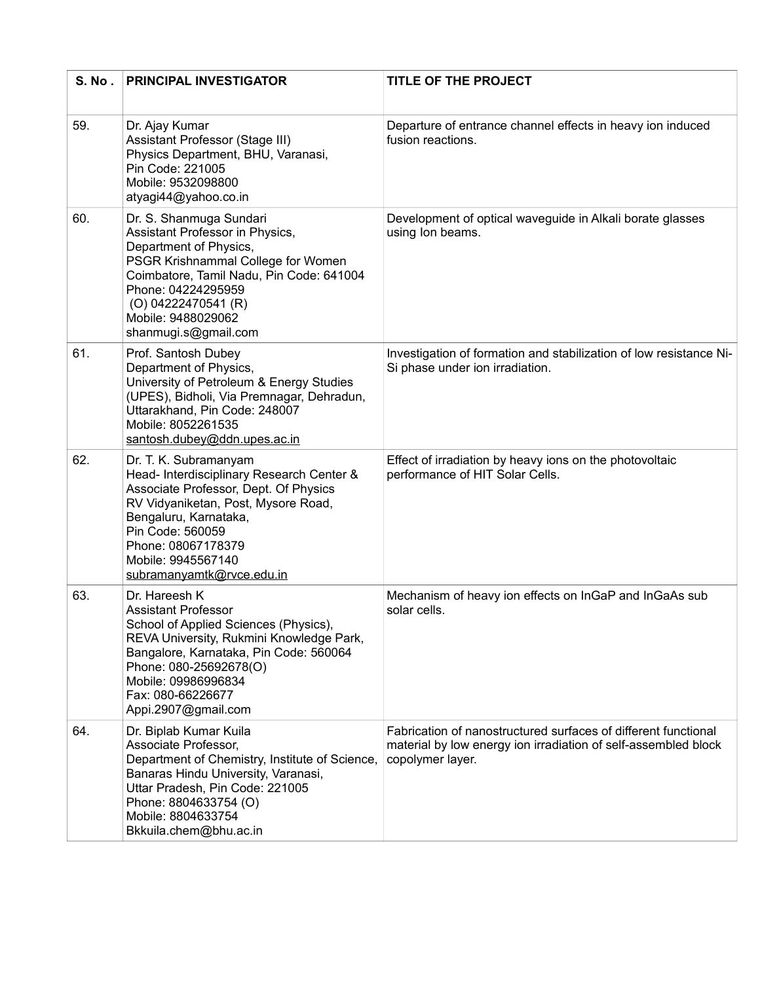| <b>S. No.</b> | <b>PRINCIPAL INVESTIGATOR</b>                                                                                                                                                                                                                                            | <b>TITLE OF THE PROJECT</b>                                                                                                                          |
|---------------|--------------------------------------------------------------------------------------------------------------------------------------------------------------------------------------------------------------------------------------------------------------------------|------------------------------------------------------------------------------------------------------------------------------------------------------|
| 59.           | Dr. Ajay Kumar<br>Assistant Professor (Stage III)<br>Physics Department, BHU, Varanasi,<br>Pin Code: 221005<br>Mobile: 9532098800<br>atyagi44@yahoo.co.in                                                                                                                | Departure of entrance channel effects in heavy ion induced<br>fusion reactions.                                                                      |
| 60.           | Dr. S. Shanmuga Sundari<br>Assistant Professor in Physics,<br>Department of Physics,<br>PSGR Krishnammal College for Women<br>Coimbatore, Tamil Nadu, Pin Code: 641004<br>Phone: 04224295959<br>$(O)$ 04222470541 $(R)$<br>Mobile: 9488029062<br>shanmugi.s@gmail.com    | Development of optical waveguide in Alkali borate glasses<br>using lon beams.                                                                        |
| 61.           | Prof. Santosh Dubey<br>Department of Physics,<br>University of Petroleum & Energy Studies<br>(UPES), Bidholi, Via Premnagar, Dehradun,<br>Uttarakhand, Pin Code: 248007<br>Mobile: 8052261535<br>santosh.dubey@ddn.upes.ac.in                                            | Investigation of formation and stabilization of low resistance Ni-<br>Si phase under ion irradiation.                                                |
| 62.           | Dr. T. K. Subramanyam<br>Head- Interdisciplinary Research Center &<br>Associate Professor, Dept. Of Physics<br>RV Vidyaniketan, Post, Mysore Road,<br>Bengaluru, Karnataka,<br>Pin Code: 560059<br>Phone: 08067178379<br>Mobile: 9945567140<br>subramanyamtk@rvce.edu.in | Effect of irradiation by heavy ions on the photovoltaic<br>performance of HIT Solar Cells.                                                           |
| 63.           | Dr. Hareesh K<br><b>Assistant Professor</b><br>School of Applied Sciences (Physics),<br>REVA University, Rukmini Knowledge Park,<br>Bangalore, Karnataka, Pin Code: 560064<br>Phone: 080-25692678(O)<br>Mobile: 09986996834<br>Fax: 080-66226677<br>Appi.2907@gmail.com  | Mechanism of heavy ion effects on InGaP and InGaAs sub<br>solar cells.                                                                               |
| 64.           | Dr. Biplab Kumar Kuila<br>Associate Professor,<br>Department of Chemistry, Institute of Science,<br>Banaras Hindu University, Varanasi,<br>Uttar Pradesh, Pin Code: 221005<br>Phone: 8804633754 (O)<br>Mobile: 8804633754<br>Bkkuila.chem@bhu.ac.in                      | Fabrication of nanostructured surfaces of different functional<br>material by low energy ion irradiation of self-assembled block<br>copolymer layer. |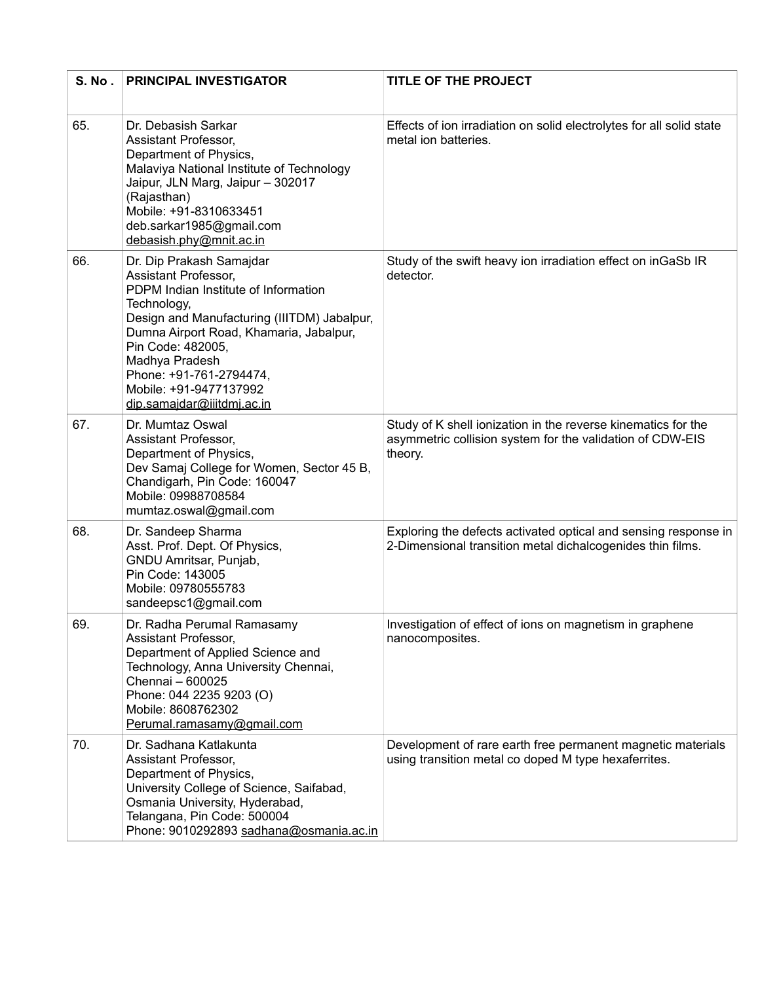| S. No. | <b>PRINCIPAL INVESTIGATOR</b>                                                                                                                                                                                                                                                                                               | TITLE OF THE PROJECT                                                                                                                  |
|--------|-----------------------------------------------------------------------------------------------------------------------------------------------------------------------------------------------------------------------------------------------------------------------------------------------------------------------------|---------------------------------------------------------------------------------------------------------------------------------------|
| 65.    | Dr. Debasish Sarkar<br>Assistant Professor,<br>Department of Physics,<br>Malaviya National Institute of Technology<br>Jaipur, JLN Marg, Jaipur - 302017<br>(Rajasthan)<br>Mobile: +91-8310633451<br>deb.sarkar1985@gmail.com<br>debasish.phy@mnit.ac.in                                                                     | Effects of ion irradiation on solid electrolytes for all solid state<br>metal ion batteries.                                          |
| 66.    | Dr. Dip Prakash Samajdar<br>Assistant Professor,<br>PDPM Indian Institute of Information<br>Technology,<br>Design and Manufacturing (IIITDM) Jabalpur,<br>Dumna Airport Road, Khamaria, Jabalpur,<br>Pin Code: 482005,<br>Madhya Pradesh<br>Phone: +91-761-2794474,<br>Mobile: +91-9477137992<br>dip.samajdar@iiitdmj.ac.in | Study of the swift heavy ion irradiation effect on inGaSb IR<br>detector.                                                             |
| 67.    | Dr. Mumtaz Oswal<br>Assistant Professor,<br>Department of Physics,<br>Dev Samaj College for Women, Sector 45 B,<br>Chandigarh, Pin Code: 160047<br>Mobile: 09988708584<br>mumtaz.oswal@gmail.com                                                                                                                            | Study of K shell ionization in the reverse kinematics for the<br>asymmetric collision system for the validation of CDW-EIS<br>theory. |
| 68.    | Dr. Sandeep Sharma<br>Asst. Prof. Dept. Of Physics,<br>GNDU Amritsar, Punjab,<br>Pin Code: 143005<br>Mobile: 09780555783<br>sandeepsc1@gmail.com                                                                                                                                                                            | Exploring the defects activated optical and sensing response in<br>2-Dimensional transition metal dichalcogenides thin films.         |
| 69.    | Dr. Radha Perumal Ramasamy<br>Assistant Professor,<br>Department of Applied Science and<br>Technology, Anna University Chennai,<br>Chennai - 600025<br>Phone: 044 2235 9203 (O)<br>Mobile: 8608762302<br>Perumal.ramasamy@gmail.com                                                                                         | Investigation of effect of ions on magnetism in graphene<br>nanocomposites.                                                           |
| 70.    | Dr. Sadhana Katlakunta<br>Assistant Professor,<br>Department of Physics,<br>University College of Science, Saifabad,<br>Osmania University, Hyderabad,<br>Telangana, Pin Code: 500004<br>Phone: 9010292893 sadhana@osmania.ac.in                                                                                            | Development of rare earth free permanent magnetic materials<br>using transition metal co doped M type hexaferrites.                   |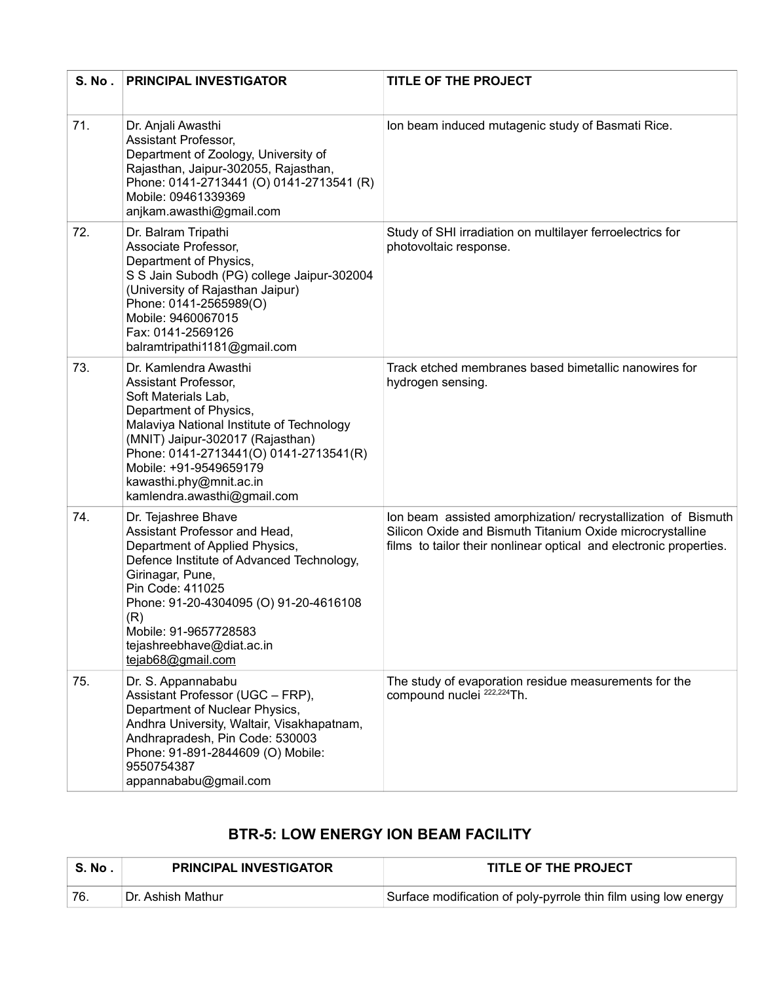| <b>S. No.</b> | <b>PRINCIPAL INVESTIGATOR</b>                                                                                                                                                                                                                                                                                 | <b>TITLE OF THE PROJECT</b>                                                                                                                                                                     |
|---------------|---------------------------------------------------------------------------------------------------------------------------------------------------------------------------------------------------------------------------------------------------------------------------------------------------------------|-------------------------------------------------------------------------------------------------------------------------------------------------------------------------------------------------|
| 71.           | Dr. Anjali Awasthi<br>Assistant Professor,<br>Department of Zoology, University of<br>Rajasthan, Jaipur-302055, Rajasthan,<br>Phone: 0141-2713441 (O) 0141-2713541 (R)<br>Mobile: 09461339369<br>anjkam.awasthi@gmail.com                                                                                     | Ion beam induced mutagenic study of Basmati Rice.                                                                                                                                               |
| 72.           | Dr. Balram Tripathi<br>Associate Professor,<br>Department of Physics,<br>S S Jain Subodh (PG) college Jaipur-302004<br>(University of Rajasthan Jaipur)<br>Phone: 0141-2565989(O)<br>Mobile: 9460067015<br>Fax: 0141-2569126<br>balramtripathi1181@gmail.com                                                  | Study of SHI irradiation on multilayer ferroelectrics for<br>photovoltaic response.                                                                                                             |
| 73.           | Dr. Kamlendra Awasthi<br>Assistant Professor,<br>Soft Materials Lab,<br>Department of Physics,<br>Malaviya National Institute of Technology<br>(MNIT) Jaipur-302017 (Rajasthan)<br>Phone: 0141-2713441(O) 0141-2713541(R)<br>Mobile: +91-9549659179<br>kawasthi.phy@mnit.ac.in<br>kamlendra.awasthi@gmail.com | Track etched membranes based bimetallic nanowires for<br>hydrogen sensing.                                                                                                                      |
| 74.           | Dr. Tejashree Bhave<br>Assistant Professor and Head,<br>Department of Applied Physics,<br>Defence Institute of Advanced Technology,<br>Girinagar, Pune,<br>Pin Code: 411025<br>Phone: 91-20-4304095 (O) 91-20-4616108<br>(R)<br>Mobile: 91-9657728583<br>tejashreebhave@diat.ac.in<br>tejab68@gmail.com       | Ion beam assisted amorphization/recrystallization of Bismuth<br>Silicon Oxide and Bismuth Titanium Oxide microcrystalline<br>films to tailor their nonlinear optical and electronic properties. |
| 75.           | Dr. S. Appannababu<br>Assistant Professor (UGC - FRP),<br>Department of Nuclear Physics,<br>Andhra University, Waltair, Visakhapatnam,<br>Andhrapradesh, Pin Code: 530003<br>Phone: 91-891-2844609 (O) Mobile:<br>9550754387<br>appannababu@gmail.com                                                         | The study of evaporation residue measurements for the<br>compound nuclei <sup>222,224</sup> Th.                                                                                                 |

### **BTR-5: LOW ENERGY ION BEAM FACILITY**

| S.No. | <b>PRINCIPAL INVESTIGATOR</b> | TITLE OF THE PROJECT                                            |
|-------|-------------------------------|-----------------------------------------------------------------|
| 76.   | ∣Dr. Ashish Mathur_           | Surface modification of poly-pyrrole thin film using low energy |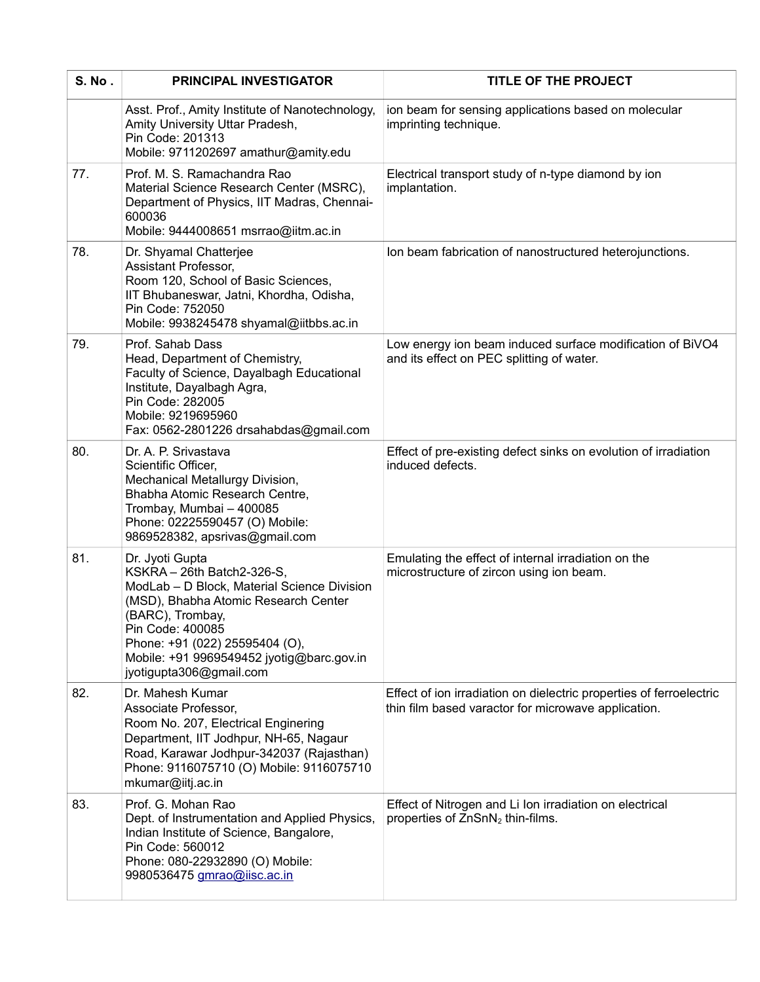| S. No. | <b>PRINCIPAL INVESTIGATOR</b>                                                                                                                                                                                                                                                          | <b>TITLE OF THE PROJECT</b>                                                                                                |
|--------|----------------------------------------------------------------------------------------------------------------------------------------------------------------------------------------------------------------------------------------------------------------------------------------|----------------------------------------------------------------------------------------------------------------------------|
|        | Asst. Prof., Amity Institute of Nanotechnology,<br>Amity University Uttar Pradesh,<br>Pin Code: 201313<br>Mobile: 9711202697 amathur@amity.edu                                                                                                                                         | ion beam for sensing applications based on molecular<br>imprinting technique.                                              |
| 77.    | Prof. M. S. Ramachandra Rao<br>Material Science Research Center (MSRC),<br>Department of Physics, IIT Madras, Chennai-<br>600036<br>Mobile: 9444008651 msrrao@iitm.ac.in                                                                                                               | Electrical transport study of n-type diamond by ion<br>implantation.                                                       |
| 78.    | Dr. Shyamal Chatterjee<br>Assistant Professor,<br>Room 120, School of Basic Sciences,<br>IIT Bhubaneswar, Jatni, Khordha, Odisha,<br>Pin Code: 752050<br>Mobile: 9938245478 shyamal@iitbbs.ac.in                                                                                       | Ion beam fabrication of nanostructured heterojunctions.                                                                    |
| 79.    | Prof. Sahab Dass<br>Head, Department of Chemistry,<br>Faculty of Science, Dayalbagh Educational<br>Institute, Dayalbagh Agra,<br>Pin Code: 282005<br>Mobile: 9219695960<br>Fax: 0562-2801226 drsahabdas@gmail.com                                                                      | Low energy ion beam induced surface modification of BiVO4<br>and its effect on PEC splitting of water.                     |
| 80.    | Dr. A. P. Srivastava<br>Scientific Officer,<br>Mechanical Metallurgy Division,<br>Bhabha Atomic Research Centre,<br>Trombay, Mumbai - 400085<br>Phone: 02225590457 (O) Mobile:<br>9869528382, apsrivas@gmail.com                                                                       | Effect of pre-existing defect sinks on evolution of irradiation<br>induced defects.                                        |
| 81.    | Dr. Jyoti Gupta<br>KSKRA - 26th Batch2-326-S,<br>ModLab - D Block, Material Science Division<br>(MSD), Bhabha Atomic Research Center<br>(BARC), Trombay,<br>Pin Code: 400085<br>Phone: +91 (022) 25595404 (O),<br>Mobile: +91 9969549452 jyotig@barc.gov.in<br>jyotigupta306@gmail.com | Emulating the effect of internal irradiation on the<br>microstructure of zircon using ion beam.                            |
| 82.    | Dr. Mahesh Kumar<br>Associate Professor,<br>Room No. 207, Electrical Enginering<br>Department, IIT Jodhpur, NH-65, Nagaur<br>Road, Karawar Jodhpur-342037 (Rajasthan)<br>Phone: 9116075710 (O) Mobile: 9116075710<br>mkumar@iitj.ac.in                                                 | Effect of ion irradiation on dielectric properties of ferroelectric<br>thin film based varactor for microwave application. |
| 83.    | Prof. G. Mohan Rao<br>Dept. of Instrumentation and Applied Physics,<br>Indian Institute of Science, Bangalore,<br>Pin Code: 560012<br>Phone: 080-22932890 (O) Mobile:<br>9980536475 gmrao@iisc.ac.in                                                                                   | Effect of Nitrogen and Li Ion irradiation on electrical<br>properties of ZnSnN <sub>2</sub> thin-films.                    |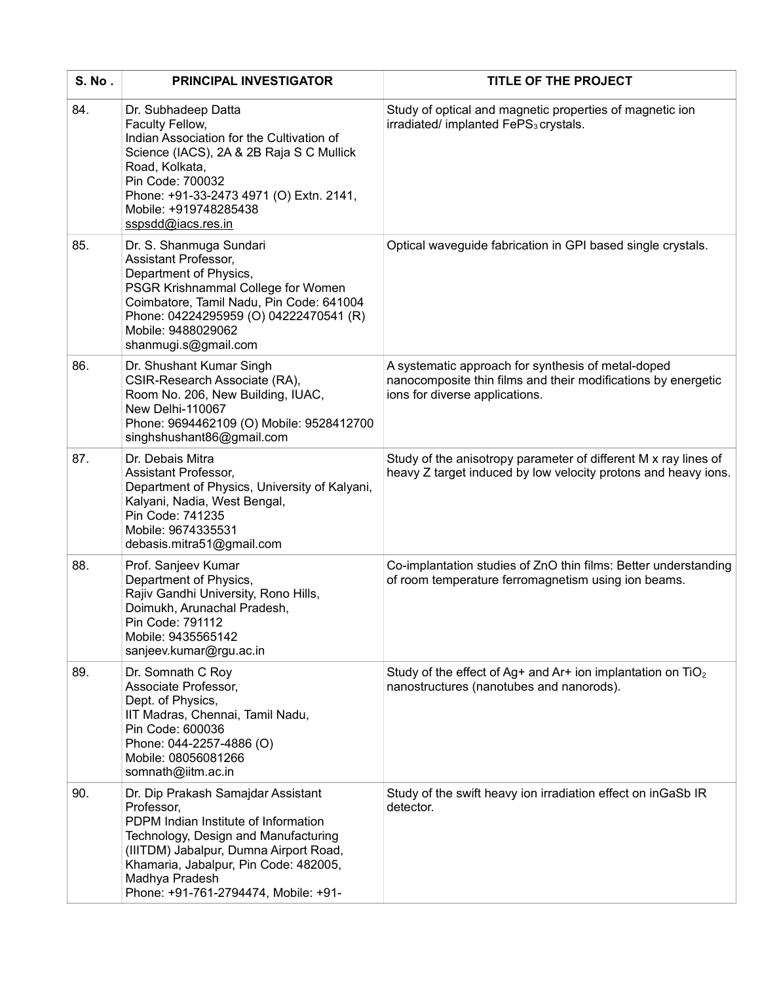| S. No. | <b>PRINCIPAL INVESTIGATOR</b>                                                                                                                                                                                                                                                 | TITLE OF THE PROJECT                                                                                                                                  |
|--------|-------------------------------------------------------------------------------------------------------------------------------------------------------------------------------------------------------------------------------------------------------------------------------|-------------------------------------------------------------------------------------------------------------------------------------------------------|
| 84.    | Dr. Subhadeep Datta<br>Faculty Fellow,<br>Indian Association for the Cultivation of<br>Science (IACS), 2A & 2B Raja S C Mullick<br>Road, Kolkata,<br>Pin Code: 700032<br>Phone: +91-33-2473 4971 (O) Extn. 2141,<br>Mobile: +919748285438<br>sspsdd@jacs.res.in               | Study of optical and magnetic properties of magnetic ion<br>irradiated/ implanted FePS <sub>3</sub> crystals.                                         |
| 85.    | Dr. S. Shanmuga Sundari<br>Assistant Professor,<br>Department of Physics,<br>PSGR Krishnammal College for Women<br>Coimbatore, Tamil Nadu, Pin Code: 641004<br>Phone: 04224295959 (O) 04222470541 (R)<br>Mobile: 9488029062<br>shanmugi.s@gmail.com                           | Optical waveguide fabrication in GPI based single crystals.                                                                                           |
| 86.    | Dr. Shushant Kumar Singh<br>CSIR-Research Associate (RA),<br>Room No. 206, New Building, IUAC,<br>New Delhi-110067<br>Phone: 9694462109 (O) Mobile: 9528412700<br>singhshushant86@gmail.com                                                                                   | A systematic approach for synthesis of metal-doped<br>nanocomposite thin films and their modifications by energetic<br>ions for diverse applications. |
| 87.    | Dr. Debais Mitra<br>Assistant Professor,<br>Department of Physics, University of Kalyani,<br>Kalyani, Nadia, West Bengal,<br>Pin Code: 741235<br>Mobile: 9674335531<br>debasis.mitra51@gmail.com                                                                              | Study of the anisotropy parameter of different M x ray lines of<br>heavy Z target induced by low velocity protons and heavy ions.                     |
| 88.    | Prof. Sanjeev Kumar<br>Department of Physics,<br>Rajiv Gandhi University, Rono Hills,<br>Doimukh, Arunachal Pradesh,<br>Pin Code: 791112<br>Mobile: 9435565142<br>sanjeev.kumar@rgu.ac.in                                                                                     | Co-implantation studies of ZnO thin films: Better understanding<br>of room temperature ferromagnetism using ion beams.                                |
| 89.    | Dr. Somnath C Roy<br>Associate Professor,<br>Dept. of Physics,<br>IIT Madras, Chennai, Tamil Nadu,<br>Pin Code: 600036<br>Phone: 044-2257-4886 (O)<br>Mobile: 08056081266<br>somnath@iitm.ac.in                                                                               | Study of the effect of Ag+ and Ar+ ion implantation on $TiO2$<br>nanostructures (nanotubes and nanorods).                                             |
| 90.    | Dr. Dip Prakash Samajdar Assistant<br>Professor,<br>PDPM Indian Institute of Information<br>Technology, Design and Manufacturing<br>(IIITDM) Jabalpur, Dumna Airport Road,<br>Khamaria, Jabalpur, Pin Code: 482005,<br>Madhya Pradesh<br>Phone: +91-761-2794474, Mobile: +91- | Study of the swift heavy ion irradiation effect on inGaSb IR<br>detector.                                                                             |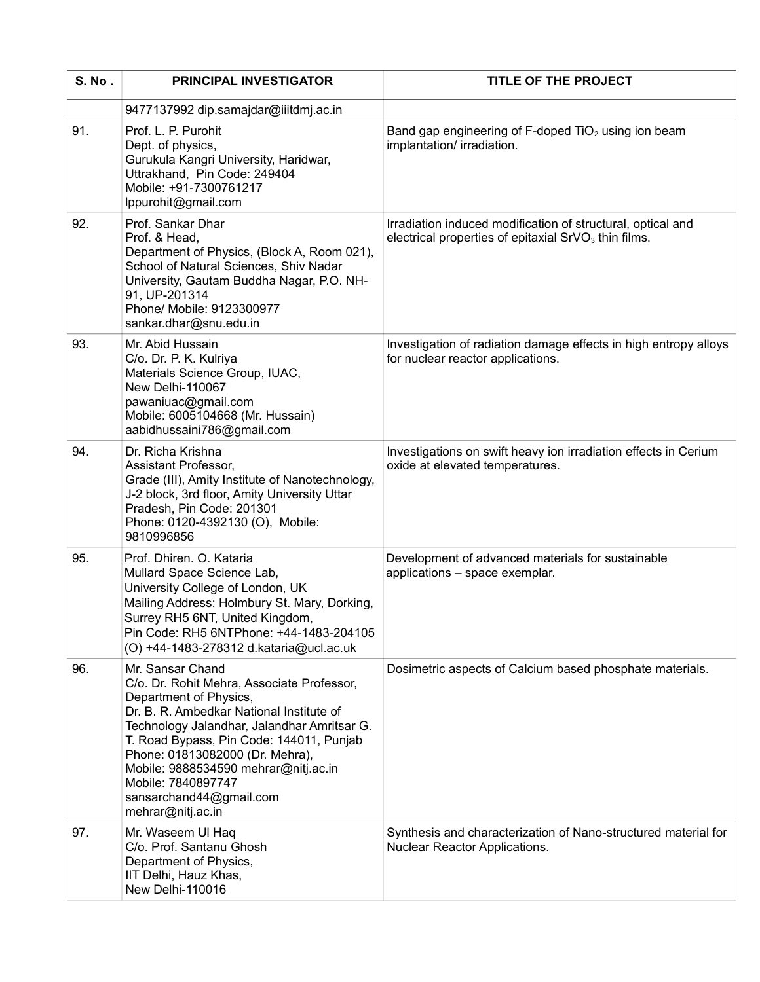| S. No. | <b>PRINCIPAL INVESTIGATOR</b>                                                                                                                                                                                                                                                                                                                                                    | TITLE OF THE PROJECT                                                                                                            |
|--------|----------------------------------------------------------------------------------------------------------------------------------------------------------------------------------------------------------------------------------------------------------------------------------------------------------------------------------------------------------------------------------|---------------------------------------------------------------------------------------------------------------------------------|
|        | 9477137992 dip.samajdar@iiitdmj.ac.in                                                                                                                                                                                                                                                                                                                                            |                                                                                                                                 |
| 91.    | Prof. L. P. Purohit<br>Dept. of physics,<br>Gurukula Kangri University, Haridwar,<br>Uttrakhand, Pin Code: 249404<br>Mobile: +91-7300761217<br>lppurohit@gmail.com                                                                                                                                                                                                               | Band gap engineering of F-doped $TiO2$ using ion beam<br>implantation/ irradiation.                                             |
| 92.    | Prof. Sankar Dhar<br>Prof. & Head,<br>Department of Physics, (Block A, Room 021),<br>School of Natural Sciences, Shiv Nadar<br>University, Gautam Buddha Nagar, P.O. NH-<br>91, UP-201314<br>Phone/ Mobile: 9123300977<br>sankar.dhar@snu.edu.in                                                                                                                                 | Irradiation induced modification of structural, optical and<br>electrical properties of epitaxial SrVO <sub>3</sub> thin films. |
| 93.    | Mr. Abid Hussain<br>C/o. Dr. P. K. Kulriya<br>Materials Science Group, IUAC,<br>New Delhi-110067<br>pawaniuac@gmail.com<br>Mobile: 6005104668 (Mr. Hussain)<br>aabidhussaini786@gmail.com                                                                                                                                                                                        | Investigation of radiation damage effects in high entropy alloys<br>for nuclear reactor applications.                           |
| 94.    | Dr. Richa Krishna<br>Assistant Professor,<br>Grade (III), Amity Institute of Nanotechnology,<br>J-2 block, 3rd floor, Amity University Uttar<br>Pradesh, Pin Code: 201301<br>Phone: 0120-4392130 (O), Mobile:<br>9810996856                                                                                                                                                      | Investigations on swift heavy ion irradiation effects in Cerium<br>oxide at elevated temperatures.                              |
| 95.    | Prof. Dhiren. O. Kataria<br>Mullard Space Science Lab,<br>University College of London, UK<br>Mailing Address: Holmbury St. Mary, Dorking,<br>Surrey RH5 6NT, United Kingdom,<br>Pin Code: RH5 6NTPhone: +44-1483-204105<br>(O) +44-1483-278312 d.kataria@ucl.ac.uk                                                                                                              | Development of advanced materials for sustainable<br>applications - space exemplar.                                             |
| 96.    | Mr. Sansar Chand<br>C/o. Dr. Rohit Mehra, Associate Professor,<br>Department of Physics,<br>Dr. B. R. Ambedkar National Institute of<br>Technology Jalandhar, Jalandhar Amritsar G.<br>T. Road Bypass, Pin Code: 144011, Punjab<br>Phone: 01813082000 (Dr. Mehra),<br>Mobile: 9888534590 mehrar@nitj.ac.in<br>Mobile: 7840897747<br>sansarchand44@gmail.com<br>mehrar@nitj.ac.in | Dosimetric aspects of Calcium based phosphate materials.                                                                        |
| 97.    | Mr. Waseem UI Haq<br>C/o. Prof. Santanu Ghosh<br>Department of Physics,<br>IIT Delhi, Hauz Khas,<br>New Delhi-110016                                                                                                                                                                                                                                                             | Synthesis and characterization of Nano-structured material for<br>Nuclear Reactor Applications.                                 |